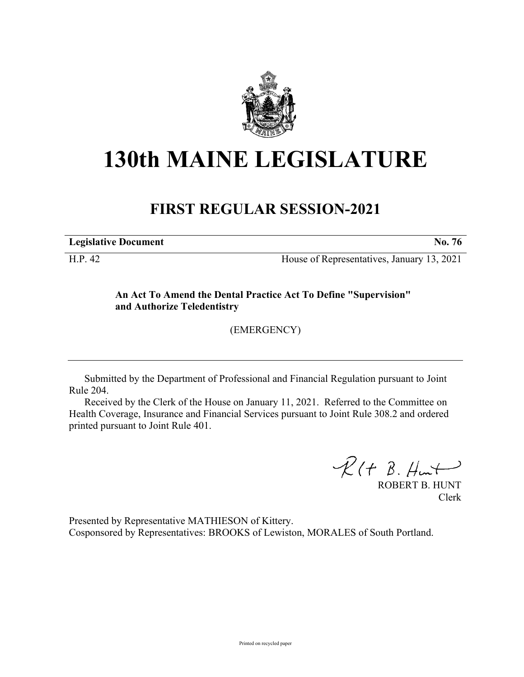

## **130th MAINE LEGISLATURE**

## **FIRST REGULAR SESSION-2021**

**Legislative Document No. 76**

H.P. 42 House of Representatives, January 13, 2021

**An Act To Amend the Dental Practice Act To Define "Supervision" and Authorize Teledentistry**

(EMERGENCY)

Submitted by the Department of Professional and Financial Regulation pursuant to Joint Rule 204.

Received by the Clerk of the House on January 11, 2021. Referred to the Committee on Health Coverage, Insurance and Financial Services pursuant to Joint Rule 308.2 and ordered printed pursuant to Joint Rule 401.

 $R(H B. H<sub>ur</sub>)$ 

ROBERT B. HUNT Clerk

Presented by Representative MATHIESON of Kittery. Cosponsored by Representatives: BROOKS of Lewiston, MORALES of South Portland.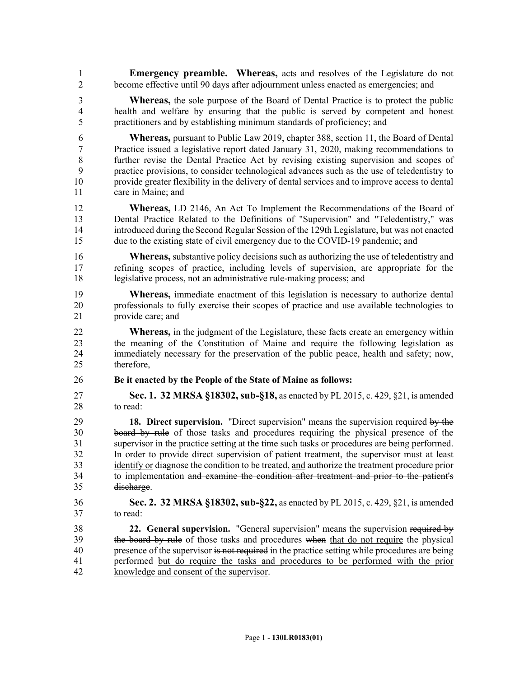1 **Emergency preamble. Whereas,** acts and resolves of the Legislature do not 2 become effective until 90 days after adjournment unless enacted as emergencies; and

3 **Whereas,** the sole purpose of the Board of Dental Practice is to protect the public 4 health and welfare by ensuring that the public is served by competent and honest 5 practitioners and by establishing minimum standards of proficiency; and

6 **Whereas,** pursuant to Public Law 2019, chapter 388, section 11, the Board of Dental 7 Practice issued a legislative report dated January 31, 2020, making recommendations to 8 further revise the Dental Practice Act by revising existing supervision and scopes of 9 practice provisions, to consider technological advances such as the use of teledentistry to 10 provide greater flexibility in the delivery of dental services and to improve access to dental 11 care in Maine; and

12 **Whereas,** LD 2146, An Act To Implement the Recommendations of the Board of 13 Dental Practice Related to the Definitions of "Supervision" and "Teledentistry," was 14 introduced during theSecond Regular Session of the 129th Legislature, but was not enacted 15 due to the existing state of civil emergency due to the COVID-19 pandemic; and

16 **Whereas,** substantive policy decisions such as authorizing the use of teledentistry and 17 refining scopes of practice, including levels of supervision, are appropriate for the 18 legislative process, not an administrative rule-making process; and

19 **Whereas,** immediate enactment of this legislation is necessary to authorize dental 20 professionals to fully exercise their scopes of practice and use available technologies to 21 provide care; and

22 **Whereas,** in the judgment of the Legislature, these facts create an emergency within 23 the meaning of the Constitution of Maine and require the following legislation as 24 immediately necessary for the preservation of the public peace, health and safety; now, 25 therefore,

26 **Be it enacted by the People of the State of Maine as follows:**

27 **Sec. 1. 32 MRSA §18302, sub-§18,** as enacted by PL 2015, c. 429, §21, is amended 28 to read:

29 **18. Direct supervision.** "Direct supervision" means the supervision required by the 30 board by rule of those tasks and procedures requiring the physical presence of the 31 supervisor in the practice setting at the time such tasks or procedures are being performed. 32 In order to provide direct supervision of patient treatment, the supervisor must at least 33 identify or diagnose the condition to be treated, and authorize the treatment procedure prior 34 to implementation and examine the condition after treatment and prior to the patient's 35 discharge.

36 **Sec. 2. 32 MRSA §18302, sub-§22,** as enacted by PL 2015, c. 429, §21, is amended 37 to read:

38 **22. General supervision.** "General supervision" means the supervision required by 39 the board by rule of those tasks and procedures when that do not require the physical 40 presence of the supervisor is not required in the practice setting while procedures are being 41 performed but do require the tasks and procedures to be performed with the prior 42 knowledge and consent of the supervisor.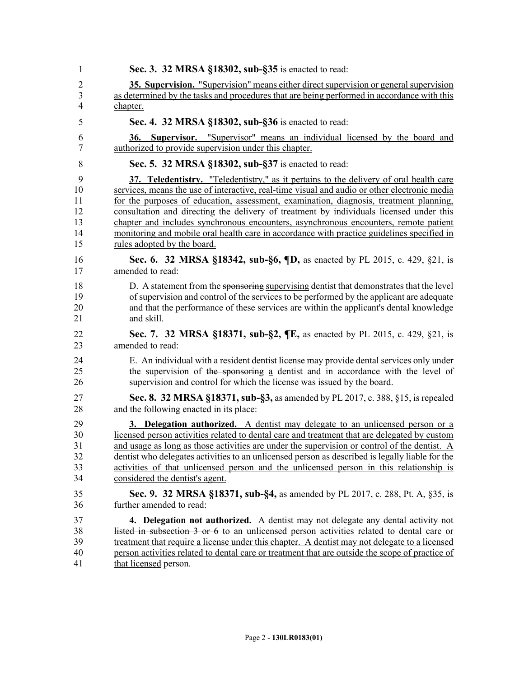| 1              | Sec. 3. 32 MRSA §18302, sub-§35 is enacted to read:                                                                                                  |
|----------------|------------------------------------------------------------------------------------------------------------------------------------------------------|
| 2              | 35. Supervision. "Supervision" means either direct supervision or general supervision                                                                |
| 3              | as determined by the tasks and procedures that are being performed in accordance with this                                                           |
| $\overline{4}$ | chapter.                                                                                                                                             |
| 5              | Sec. 4. 32 MRSA §18302, sub-§36 is enacted to read:                                                                                                  |
| 6<br>7         | <b>Supervisor.</b> "Supervisor" means an individual licensed by the board and<br><b>36.</b><br>authorized to provide supervision under this chapter. |
| 8              | Sec. 5. 32 MRSA §18302, sub-§37 is enacted to read:                                                                                                  |
| 9              | 37. Teledentistry. "Teledentistry," as it pertains to the delivery of oral health care                                                               |
| 10             | services, means the use of interactive, real-time visual and audio or other electronic media                                                         |
| 11             | for the purposes of education, assessment, examination, diagnosis, treatment planning,                                                               |
| 12             | consultation and directing the delivery of treatment by individuals licensed under this                                                              |
| 13             | chapter and includes synchronous encounters, asynchronous encounters, remote patient                                                                 |
| 14             | monitoring and mobile oral health care in accordance with practice guidelines specified in                                                           |
| 15             | rules adopted by the board.                                                                                                                          |
| 16             | Sec. 6. 32 MRSA §18342, sub-§6, ¶D, as enacted by PL 2015, c. 429, §21, is                                                                           |
| 17             | amended to read:                                                                                                                                     |
| 18             | D. A statement from the sponsoring supervising dentist that demonstrates that the level                                                              |
| 19             | of supervision and control of the services to be performed by the applicant are adequate                                                             |
| 20             | and that the performance of these services are within the applicant's dental knowledge                                                               |
| 21             | and skill.                                                                                                                                           |
| 22             | Sec. 7. 32 MRSA §18371, sub-§2, ¶E, as enacted by PL 2015, c. 429, §21, is                                                                           |
| 23             | amended to read:                                                                                                                                     |
| 24             | E. An individual with a resident dentist license may provide dental services only under                                                              |
| 25             | the supervision of the sponsoring a dentist and in accordance with the level of                                                                      |
| 26             | supervision and control for which the license was issued by the board.                                                                               |
| 27             | Sec. 8. 32 MRSA §18371, sub-§3, as amended by PL 2017, c. 388, §15, is repealed                                                                      |
| 28             | and the following enacted in its place:                                                                                                              |
| 29             | 3. Delegation authorized. A dentist may delegate to an unlicensed person or a                                                                        |
| 30             | licensed person activities related to dental care and treatment that are delegated by custom                                                         |
| 31             | and usage as long as those activities are under the supervision or control of the dentist. A                                                         |
| 32             | dentist who delegates activities to an unlicensed person as described is legally liable for the                                                      |
| 33             | activities of that unlicensed person and the unlicensed person in this relationship is                                                               |
| 34             | considered the dentist's agent.                                                                                                                      |
| 35             | Sec. 9. 32 MRSA §18371, sub-§4, as amended by PL 2017, c. 288, Pt. A, §35, is                                                                        |
| 36             | further amended to read:                                                                                                                             |
| 37             | 4. Delegation not authorized. A dentist may not delegate any dental activity not                                                                     |
| 38             | listed in subsection 3 or 6 to an unlicensed person activities related to dental care or                                                             |
| 39             | treatment that require a license under this chapter. A dentist may not delegate to a licensed                                                        |
| 40             | person activities related to dental care or treatment that are outside the scope of practice of                                                      |
| 41             | that licensed person.                                                                                                                                |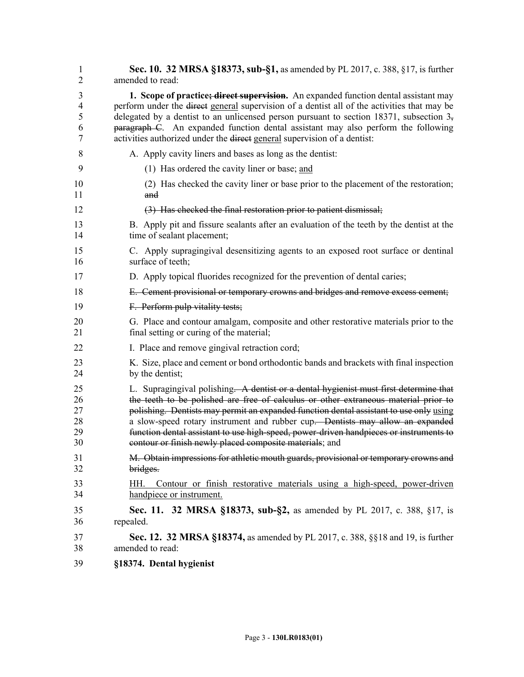| $\mathbf{1}$   | <b>Sec. 10. 32 MRSA §18373, sub-§1, as amended by PL 2017, c. 388, §17, is further</b>                      |
|----------------|-------------------------------------------------------------------------------------------------------------|
| $\overline{2}$ | amended to read:                                                                                            |
| 3              | 1. Scope of practice; direct supervision. An expanded function dental assistant may                         |
| $\overline{4}$ | perform under the <del>direct</del> general supervision of a dentist all of the activities that may be      |
| 5              | delegated by a dentist to an unlicensed person pursuant to section 18371, subsection $35$                   |
| 6              | paragraph C. An expanded function dental assistant may also perform the following                           |
| 7              | activities authorized under the direct general supervision of a dentist:                                    |
| 8              | A. Apply cavity liners and bases as long as the dentist:                                                    |
| 9              | (1) Has ordered the cavity liner or base; and                                                               |
| 10             | (2) Has checked the cavity liner or base prior to the placement of the restoration;                         |
| 11             | and                                                                                                         |
| 12             | (3) Has checked the final restoration prior to patient dismissal;                                           |
| 13             | B. Apply pit and fissure sealants after an evaluation of the teeth by the dentist at the                    |
| 14             | time of sealant placement;                                                                                  |
| 15             | C. Apply supragingival desensitizing agents to an exposed root surface or dentinal                          |
| 16             | surface of teeth:                                                                                           |
| 17             | D. Apply topical fluorides recognized for the prevention of dental caries;                                  |
| 18             | E. Cement provisional or temporary crowns and bridges and remove excess cement;                             |
| 19             | F. Perform pulp vitality tests;                                                                             |
| 20             | G. Place and contour amalgam, composite and other restorative materials prior to the                        |
| 21             | final setting or curing of the material;                                                                    |
| 22             | I. Place and remove gingival retraction cord;                                                               |
| 23             | K. Size, place and cement or bond orthodontic bands and brackets with final inspection                      |
| 24             | by the dentist;                                                                                             |
| 25             | L. Supragingival polishing. A dentist or a dental hygienist must first determine that                       |
| 26             | the teeth to be polished are free of calculus or other extraneous material prior to                         |
| 27             | polishing. Dentists may permit an expanded function dental assistant to use only using                      |
| 28             | a slow-speed rotary instrument and rubber cup. Dentists may allow an expanded                               |
| 29             | function dental assistant to use high-speed, power-driven handpieces or instruments to                      |
| 30             | contour or finish newly placed composite materials; and                                                     |
| 31             | M. Obtain impressions for athletic mouth guards, provisional or temporary crowns and                        |
| 32             | bridges.                                                                                                    |
| 33<br>34       | Contour or finish restorative materials using a high-speed, power-driven<br>HH.<br>handpiece or instrument. |
| 35             | Sec. 11. 32 MRSA §18373, sub-§2, as amended by PL 2017, c. 388, §17, is                                     |
| 36             | repealed.                                                                                                   |
| 37             | Sec. 12. 32 MRSA §18374, as amended by PL 2017, c. 388, §§18 and 19, is further                             |
| 38             | amended to read:                                                                                            |
| 39             | §18374. Dental hygienist                                                                                    |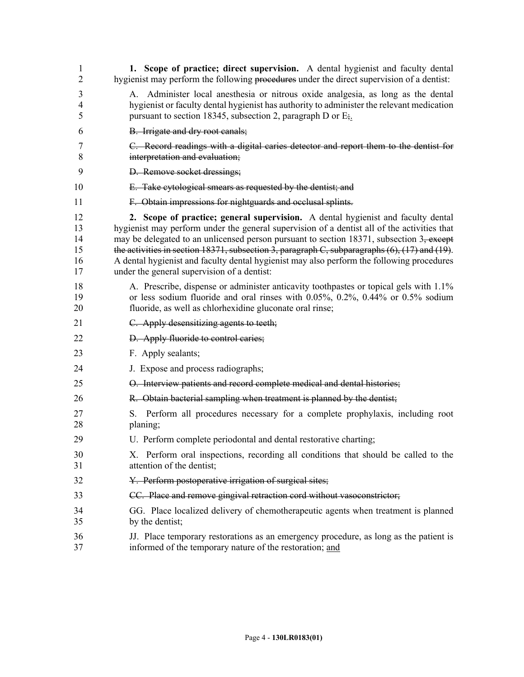| 1<br>2                           | 1. Scope of practice; direct supervision. A dental hygienist and faculty dental<br>hygienist may perform the following procedures under the direct supervision of a dentist:                                                                                                                                                                                                                                                                                                                                                         |
|----------------------------------|--------------------------------------------------------------------------------------------------------------------------------------------------------------------------------------------------------------------------------------------------------------------------------------------------------------------------------------------------------------------------------------------------------------------------------------------------------------------------------------------------------------------------------------|
| 3<br>4<br>5                      | Administer local anesthesia or nitrous oxide analgesia, as long as the dental<br>А.<br>hygienist or faculty dental hygienist has authority to administer the relevant medication<br>pursuant to section 18345, subsection 2, paragraph D or $E_{\frac{1}{2}}$ .                                                                                                                                                                                                                                                                      |
| 6                                | B. Irrigate and dry root canals;                                                                                                                                                                                                                                                                                                                                                                                                                                                                                                     |
| 7<br>8                           | C. Record readings with a digital caries detector and report them to the dentist for<br>interpretation and evaluation;                                                                                                                                                                                                                                                                                                                                                                                                               |
| 9                                | D. Remove socket dressings;                                                                                                                                                                                                                                                                                                                                                                                                                                                                                                          |
| 10                               | E. Take cytological smears as requested by the dentist; and                                                                                                                                                                                                                                                                                                                                                                                                                                                                          |
| 11                               | F. Obtain impressions for nightguards and occlusal splints.                                                                                                                                                                                                                                                                                                                                                                                                                                                                          |
| 12<br>13<br>14<br>15<br>16<br>17 | 2. Scope of practice; general supervision. A dental hygienist and faculty dental<br>hygienist may perform under the general supervision of a dentist all of the activities that<br>may be delegated to an unlicensed person pursuant to section 18371, subsection $3\frac{1}{2}$ except<br>the activities in section 18371, subsection 3, paragraph C, subparagraphs (6), (17) and (19).<br>A dental hygienist and faculty dental hygienist may also perform the following procedures<br>under the general supervision of a dentist: |
| 18<br>19<br>20                   | A. Prescribe, dispense or administer anticavity toothpastes or topical gels with 1.1%<br>or less sodium fluoride and oral rinses with $0.05\%$ , $0.2\%$ , $0.44\%$ or $0.5\%$ sodium<br>fluoride, as well as chlorhexidine gluconate oral rinse;                                                                                                                                                                                                                                                                                    |
| 21                               | C. Apply desensitizing agents to teeth;                                                                                                                                                                                                                                                                                                                                                                                                                                                                                              |
| 22                               | D. Apply fluoride to control caries;                                                                                                                                                                                                                                                                                                                                                                                                                                                                                                 |
| 23                               | F. Apply sealants;                                                                                                                                                                                                                                                                                                                                                                                                                                                                                                                   |
| 24                               | J. Expose and process radiographs;                                                                                                                                                                                                                                                                                                                                                                                                                                                                                                   |
| 25                               | O. Interview patients and record complete medical and dental histories;                                                                                                                                                                                                                                                                                                                                                                                                                                                              |
| 26                               | R. Obtain bacterial sampling when treatment is planned by the dentist;                                                                                                                                                                                                                                                                                                                                                                                                                                                               |
| 27<br>28                         | Perform all procedures necessary for a complete prophylaxis, including root<br>S.<br>planing;                                                                                                                                                                                                                                                                                                                                                                                                                                        |
| 29                               | U. Perform complete periodontal and dental restorative charting;                                                                                                                                                                                                                                                                                                                                                                                                                                                                     |
| 30<br>31                         | X. Perform oral inspections, recording all conditions that should be called to the<br>attention of the dentist;                                                                                                                                                                                                                                                                                                                                                                                                                      |
| 32                               | Y. Perform postoperative irrigation of surgical sites;                                                                                                                                                                                                                                                                                                                                                                                                                                                                               |
| 33                               | CC. Place and remove gingival retraction cord without vasoconstrictor;                                                                                                                                                                                                                                                                                                                                                                                                                                                               |
| 34<br>35                         | GG. Place localized delivery of chemotherapeutic agents when treatment is planned<br>by the dentist;                                                                                                                                                                                                                                                                                                                                                                                                                                 |
| 36<br>37                         | JJ. Place temporary restorations as an emergency procedure, as long as the patient is<br>informed of the temporary nature of the restoration; and                                                                                                                                                                                                                                                                                                                                                                                    |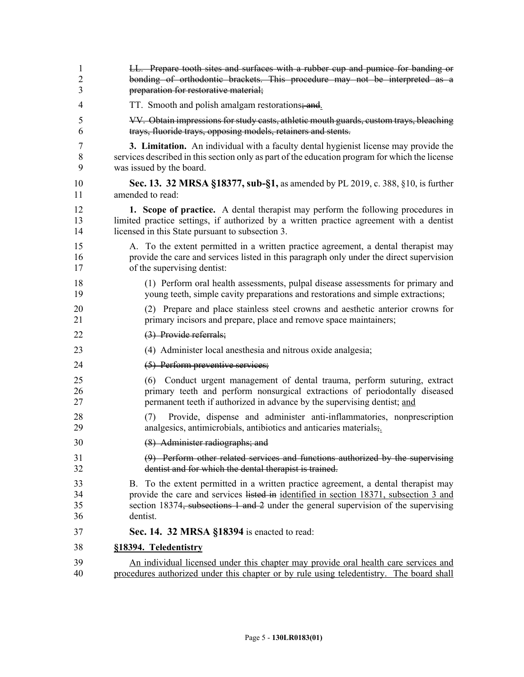| $\mathbf{1}$   | LL. Prepare tooth sites and surfaces with a rubber cup and pumice for banding or                                                                  |
|----------------|---------------------------------------------------------------------------------------------------------------------------------------------------|
| $\overline{2}$ | bonding of orthodontic brackets. This procedure may not be interpreted as a                                                                       |
| 3              | preparation for restorative material;                                                                                                             |
| 4              | TT. Smooth and polish amalgam restorations; and                                                                                                   |
| 5              | VV. Obtain impressions for study casts, athletic mouth guards, custom trays, bleaching                                                            |
| 6              | trays, fluoride trays, opposing models, retainers and stents.                                                                                     |
| 7              | <b>3. Limitation.</b> An individual with a faculty dental hygienist license may provide the                                                       |
| 8              | services described in this section only as part of the education program for which the license                                                    |
| 9              | was issued by the board.                                                                                                                          |
| 10             | Sec. 13. 32 MRSA §18377, sub-§1, as amended by PL 2019, c. 388, §10, is further                                                                   |
| 11             | amended to read:                                                                                                                                  |
| 12             | 1. Scope of practice. A dental therapist may perform the following procedures in                                                                  |
| 13             | limited practice settings, if authorized by a written practice agreement with a dentist                                                           |
| 14             | licensed in this State pursuant to subsection 3.                                                                                                  |
| 15             | A. To the extent permitted in a written practice agreement, a dental therapist may                                                                |
| 16             | provide the care and services listed in this paragraph only under the direct supervision                                                          |
| 17             | of the supervising dentist:                                                                                                                       |
| 18             | (1) Perform oral health assessments, pulpal disease assessments for primary and                                                                   |
| 19             | young teeth, simple cavity preparations and restorations and simple extractions;                                                                  |
| 20             | (2) Prepare and place stainless steel crowns and aesthetic anterior crowns for                                                                    |
| 21             | primary incisors and prepare, place and remove space maintainers;                                                                                 |
| 22             | (3) Provide referrals;                                                                                                                            |
| 23             | (4) Administer local anesthesia and nitrous oxide analgesia;                                                                                      |
| 24             | (5) Perform preventive services;                                                                                                                  |
| 25             | (6) Conduct urgent management of dental trauma, perform suturing, extract                                                                         |
| 26             | primary teeth and perform nonsurgical extractions of periodontally diseased                                                                       |
| 27             | permanent teeth if authorized in advance by the supervising dentist; and                                                                          |
| 28<br>29       | Provide, dispense and administer anti-inflammatories, nonprescription<br>(7)<br>analgesics, antimicrobials, antibiotics and anticaries materials; |
| 30             | (8) Administer radiographs; and                                                                                                                   |
| 31             | (9) Perform other related services and functions authorized by the supervising                                                                    |
| 32             | dentist and for which the dental therapist is trained.                                                                                            |
| 33             | B. To the extent permitted in a written practice agreement, a dental therapist may                                                                |
| 34             | provide the care and services listed in <u>identified in section 18371</u> , subsection 3 and                                                     |
| 35             | section 18374, subsections 1 and 2 under the general supervision of the supervising                                                               |
| 36             | dentist.                                                                                                                                          |
| 37             | <b>Sec. 14. 32 MRSA §18394</b> is enacted to read:                                                                                                |
| 38             | §18394. Teledentistry                                                                                                                             |
| 39             | An individual licensed under this chapter may provide oral health care services and                                                               |
| 40             | procedures authorized under this chapter or by rule using teledentistry. The board shall                                                          |